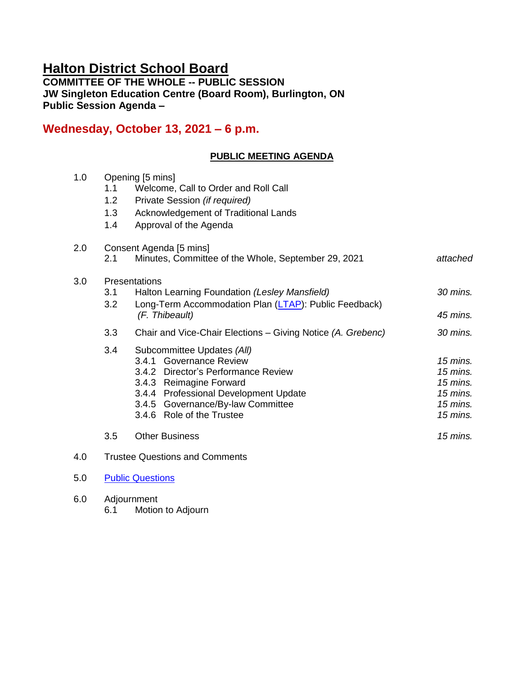# **Halton District School Board**

**COMMITTEE OF THE WHOLE -- PUBLIC SESSION JW Singleton Education Centre (Board Room), Burlington, ON Public Session Agenda –**

# **Wednesday, October 13, 2021 – 6 p.m.**

# **PUBLIC MEETING AGENDA**

| 1.0 | 1.1<br>1.2<br>1.3<br>1.4 | Opening [5 mins]<br>Welcome, Call to Order and Roll Call<br>Private Session (if required)<br>Acknowledgement of Traditional Lands<br>Approval of the Agenda                                                                        |                                                                            |
|-----|--------------------------|------------------------------------------------------------------------------------------------------------------------------------------------------------------------------------------------------------------------------------|----------------------------------------------------------------------------|
| 2.0 | 2.1                      | Consent Agenda [5 mins]<br>Minutes, Committee of the Whole, September 29, 2021                                                                                                                                                     | attached                                                                   |
| 3.0 | 3.1<br>3.2               | Presentations<br>Halton Learning Foundation (Lesley Mansfield)<br>Long-Term Accommodation Plan (LTAP): Public Feedback)<br>(F. Thibeault)                                                                                          | 30 mins.<br>45 mins.                                                       |
|     | 3.3                      | Chair and Vice-Chair Elections - Giving Notice (A. Grebenc)                                                                                                                                                                        | 30 mins.                                                                   |
|     | 3.4                      | Subcommittee Updates (All)<br>3.4.1 Governance Review<br>3.4.2 Director's Performance Review<br>3.4.3 Reimagine Forward<br>3.4.4 Professional Development Update<br>3.4.5 Governance/By-law Committee<br>3.4.6 Role of the Trustee | 15 mins.<br>15 mins.<br>$15$ mins.<br>$15$ mins.<br>$15$ mins.<br>15 mins. |
|     | 3.5                      | <b>Other Business</b>                                                                                                                                                                                                              | $15$ mins.                                                                 |
| 4.0 |                          | <b>Trustee Questions and Comments</b>                                                                                                                                                                                              |                                                                            |

- 5.0 [Public Questions](https://forms.gle/qS29GSpbBXENBqkJ8)
- 6.0 Adjournment 6.1 Motion to Adjourn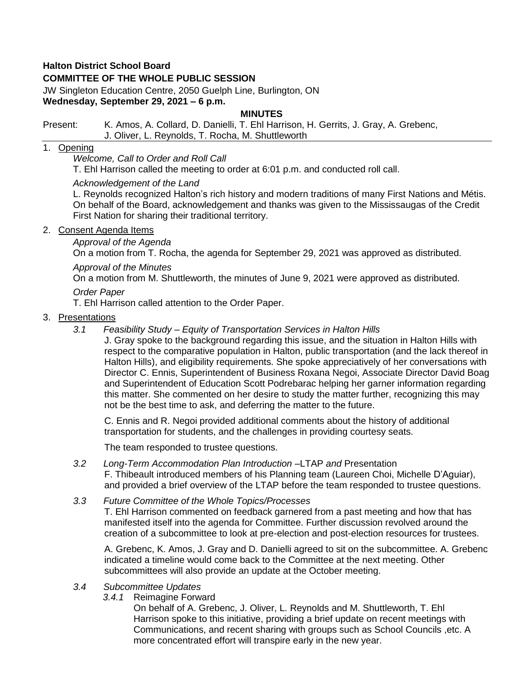# **Halton District School Board**

# **COMMITTEE OF THE WHOLE PUBLIC SESSION**

JW Singleton Education Centre, 2050 Guelph Line, Burlington, ON **Wednesday, September 29, 2021 – 6 p.m.**

#### **MINUTES**

Present: K. Amos, A. Collard, D. Danielli, T. Ehl Harrison, H. Gerrits, J. Gray, A. Grebenc, J. Oliver, L. Reynolds, T. Rocha, M. Shuttleworth

# 1. Opening

*Welcome, Call to Order and Roll Call*

T. Ehl Harrison called the meeting to order at 6:01 p.m. and conducted roll call.

#### *Acknowledgement of the Land*

L. Reynolds recognized Halton's rich history and modern traditions of many First Nations and Métis. On behalf of the Board, acknowledgement and thanks was given to the Mississaugas of the Credit First Nation for sharing their traditional territory.

#### 2. Consent Agenda Items

# *Approval of the Agenda*

On a motion from T. Rocha, the agenda for September 29, 2021 was approved as distributed.

# *Approval of the Minutes*

On a motion from M. Shuttleworth, the minutes of June 9, 2021 were approved as distributed.

#### *Order Paper*

T. Ehl Harrison called attention to the Order Paper.

#### 3. Presentations

*3.1 Feasibility Study – Equity of Transportation Services in Halton Hills*

J. Gray spoke to the background regarding this issue, and the situation in Halton Hills with respect to the comparative population in Halton, public transportation (and the lack thereof in Halton Hills), and eligibility requirements. She spoke appreciatively of her conversations with Director C. Ennis, Superintendent of Business Roxana Negoi, Associate Director David Boag and Superintendent of Education Scott Podrebarac helping her garner information regarding this matter. She commented on her desire to study the matter further, recognizing this may not be the best time to ask, and deferring the matter to the future.

C. Ennis and R. Negoi provided additional comments about the history of additional transportation for students, and the challenges in providing courtesy seats.

The team responded to trustee questions.

*3.2 Long-Term Accommodation Plan Introduction –*[LTAP](https://drive.google.com/file/d/1VHqqFDN-2IoF9wjUGI5jcNIRzXTykEFV/view?usp=sharing) *and* [Presentation](https://drive.google.com/file/d/1uJdq61VA6Vb1UXFxJZvhYHodn1n42eMT/view?usp=sharing) F. Thibeault introduced members of his Planning team (Laureen Choi, Michelle D'Aguiar), and provided a brief overview of the LTAP before the team responded to trustee questions.

#### *3.3 Future Committee of the Whole Topics/Processes*

T. Ehl Harrison commented on feedback garnered from a past meeting and how that has manifested itself into the agenda for Committee. Further discussion revolved around the creation of a subcommittee to look at pre-election and post-election resources for trustees.

A. Grebenc, K. Amos, J. Gray and D. Danielli agreed to sit on the subcommittee. A. Grebenc indicated a timeline would come back to the Committee at the next meeting. Other subcommittees will also provide an update at the October meeting.

#### *3.4 Subcommittee Updates*

*3.4.1* Reimagine Forward

On behalf of A. Grebenc, J. Oliver, L. Reynolds and M. Shuttleworth, T. Ehl Harrison spoke to this initiative, providing a brief update on recent meetings with Communications, and recent sharing with groups such as School Councils ,etc. A more concentrated effort will transpire early in the new year.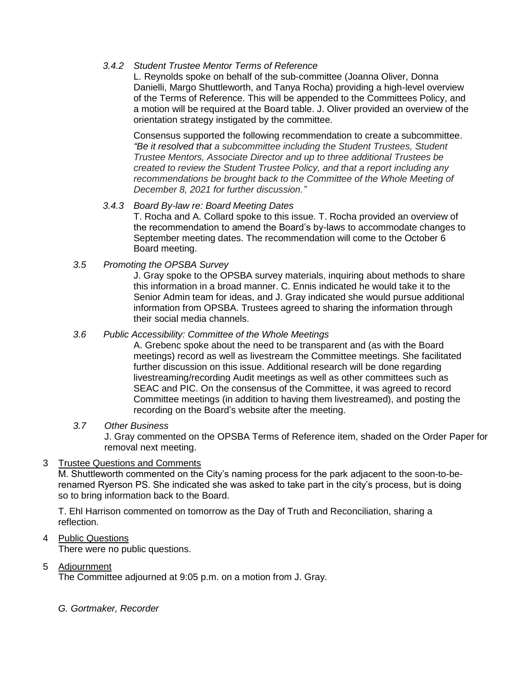# *3.4.2 Student Trustee Mentor Terms of Reference*

L. Reynolds spoke on behalf of the sub-committee (Joanna Oliver, Donna Danielli, Margo Shuttleworth, and Tanya Rocha) providing a high-level overview of the Terms of Reference. This will be appended to the Committees Policy, and a motion will be required at the Board table. J. Oliver provided an overview of the orientation strategy instigated by the committee.

Consensus supported the following recommendation to create a subcommittee. *"Be it resolved that a subcommittee including the Student Trustees, Student Trustee Mentors, Associate Director and up to three additional Trustees be created to review the Student Trustee Policy, and that a report including any recommendations be brought back to the Committee of the Whole Meeting of December 8, 2021 for further discussion."*

# *3.4.3 Board By-law re: Board Meeting Dates*

T. Rocha and A. Collard spoke to this issue. T. Rocha provided an overview of the recommendation to amend the Board's by-laws to accommodate changes to September meeting dates. The recommendation will come to the October 6 Board meeting.

# *3.5 Promoting the OPSBA Survey*

J. Gray spoke to the OPSBA survey materials, inquiring about methods to share this information in a broad manner. C. Ennis indicated he would take it to the Senior Admin team for ideas, and J. Gray indicated she would pursue additional information from OPSBA. Trustees agreed to sharing the information through their social media channels.

#### *3.6 Public Accessibility: Committee of the Whole Meetings*

A. Grebenc spoke about the need to be transparent and (as with the Board meetings) record as well as livestream the Committee meetings. She facilitated further discussion on this issue. Additional research will be done regarding livestreaming/recording Audit meetings as well as other committees such as SEAC and PIC. On the consensus of the Committee, it was agreed to record Committee meetings (in addition to having them livestreamed), and posting the recording on the Board's website after the meeting.

#### *3.7 Other Business*

J. Gray commented on the OPSBA Terms of Reference item, shaded on the Order Paper for removal next meeting.

# 3 Trustee Questions and Comments

M. Shuttleworth commented on the City's naming process for the park adjacent to the soon-to-berenamed Ryerson PS. She indicated she was asked to take part in the city's process, but is doing so to bring information back to the Board.

T. Ehl Harrison commented on tomorrow as the Day of Truth and Reconciliation, sharing a reflection.

# 4 Public Questions

There were no public questions.

#### 5 Adjournment

The Committee adjourned at 9:05 p.m. on a motion from J. Gray.

#### *G. Gortmaker, Recorder*